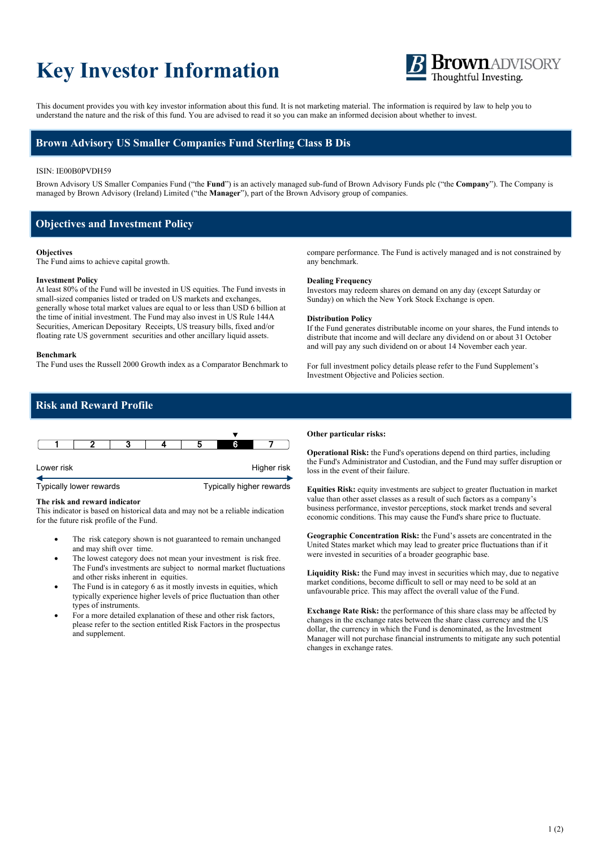# **Key Investor Information**



This document provides you with key investor information about this fund. It is not marketing material. The information is required by law to help you to understand the nature and the risk of this fund. You are advised to read it so you can make an informed decision about whether to invest.

## **Brown Advisory US Smaller Companies Fund Sterling Class B Dis**

#### ISIN: IE00B0PVDH59

Brown Advisory US Smaller Companies Fund ("the **Fund**") is an actively managed sub-fund of Brown Advisory Funds plc ("the **Company**"). The Company is managed by Brown Advisory (Ireland) Limited ("the **Manager**"), part of the Brown Advisory group of companies.

## **Objectives and Investment Policy**

#### **Objectives**

The Fund aims to achieve capital growth.

#### **Investment Policy**

At least 80% of the Fund will be invested in US equities. The Fund invests in small-sized companies listed or traded on US markets and exchanges, generally whose total market values are equal to or less than USD 6 billion at the time of initial investment. The Fund may also invest in US Rule 144A Securities, American Depositary Receipts, US treasury bills, fixed and/or floating rate US government securities and other ancillary liquid assets.

#### **Benchmark**

The Fund uses the Russell 2000 Growth index as a Comparator Benchmark to

compare performance. The Fund is actively managed and is not constrained by any benchmark.

#### **Dealing Frequency**

Investors may redeem shares on demand on any day (except Saturday or Sunday) on which the New York Stock Exchange is open.

#### **Distribution Policy**

If the Fund generates distributable income on your shares, the Fund intends to distribute that income and will declare any dividend on or about 31 October and will pay any such dividend on or about 14 November each year.

For full investment policy details please refer to the Fund Supplement's Investment Objective and Policies section.

## **Risk and Reward Profile**

|                         |  |  |  |                          | 6 |             |
|-------------------------|--|--|--|--------------------------|---|-------------|
| Lower risk              |  |  |  |                          |   | Higher risk |
| Typically lower rewards |  |  |  | Typically higher rewards |   |             |

#### **The risk and reward indicator**

This indicator is based on historical data and may not be a reliable indication for the future risk profile of the Fund.

- The risk category shown is not guaranteed to remain unchanged and may shift over time.
- The lowest category does not mean your investment is risk free. The Fund's investments are subject to normal market fluctuations and other risks inherent in equities.
- The Fund is in category 6 as it mostly invests in equities, which typically experience higher levels of price fluctuation than other types of instruments.
- For a more detailed explanation of these and other risk factors, please refer to the section entitled Risk Factors in the prospectus and supplement.

#### **Other particular risks:**

**Operational Risk:** the Fund's operations depend on third parties, including the Fund's Administrator and Custodian, and the Fund may suffer disruption or loss in the event of their failure.

**Equities Risk:** equity investments are subject to greater fluctuation in market value than other asset classes as a result of such factors as a company's business performance, investor perceptions, stock market trends and several economic conditions. This may cause the Fund's share price to fluctuate.

**Geographic Concentration Risk:** the Fund's assets are concentrated in the United States market which may lead to greater price fluctuations than if it were invested in securities of a broader geographic base.

**Liquidity Risk:** the Fund may invest in securities which may, due to negative market conditions, become difficult to sell or may need to be sold at an unfavourable price. This may affect the overall value of the Fund.

**Exchange Rate Risk:** the performance of this share class may be affected by changes in the exchange rates between the share class currency and the US dollar, the currency in which the Fund is denominated, as the Investment Manager will not purchase financial instruments to mitigate any such potential changes in exchange rates.